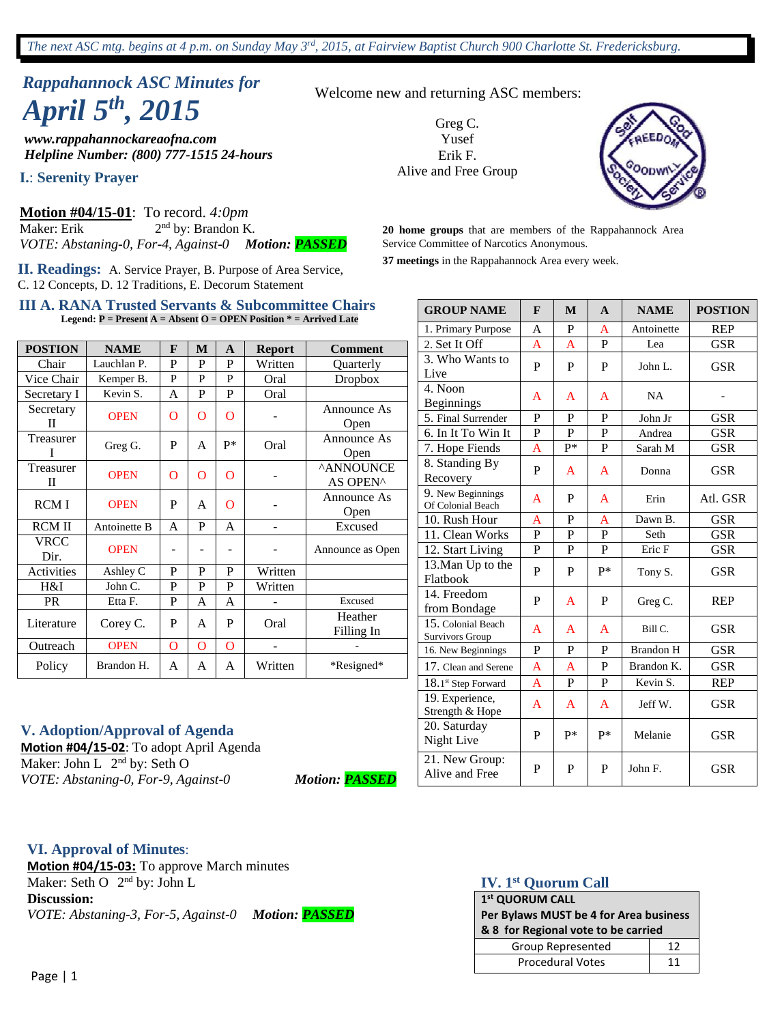# *Rappahannock ASC Minutes for April 5th , 2015*

*www.rappahannockareaofna.com Helpline Number: (800) 777-1515 24-hours*

**I.**: **Serenity Prayer**

**Motion #04/15-01**: To record. *4:0pm*  Maker: Erik 2  $2<sup>nd</sup>$  by: Brandon K. *VOTE: Abstaning-0, For-4, Against-0 Motion: PASSED*

**II. Readings:** A. Service Prayer, B. Purpose of Area Service, C. 12 Concepts, D. 12 Traditions, E. Decorum Statement

#### **III A. RANA Trusted Servants & Subcommittee Chairs Legend: P = Present A = Absent O = OPEN Position \* = Arrived Late**

| <b>POSTION</b> | <b>NAME</b>  | F | M            | A    | <b>Report</b> | <b>Comment</b>               |
|----------------|--------------|---|--------------|------|---------------|------------------------------|
| Chair          | Lauchlan P.  | P | P            | P    | Written       | Quarterly                    |
| Vice Chair     | Kemper B.    | P | P            | P    | Oral          | Dropbox                      |
| Secretary I    | Kevin S.     | A | P            | P    | Oral          |                              |
| Secretary<br>П | <b>OPEN</b>  | О | O            | O    |               | Announce As<br>Open          |
| Treasurer<br>T | Greg G.      | P | A            | $P*$ | Oral          | Announce As<br>Open          |
| Treasurer<br>П | <b>OPEN</b>  | О | $\mathbf O$  | O    |               | <b>^ANNOUNCE</b><br>AS OPEN^ |
| <b>RCMI</b>    | <b>OPEN</b>  | P | $\mathsf{A}$ | O    |               | Announce As<br>Open          |
| <b>RCM II</b>  | Antoinette B | A | P            | A    |               | Excused                      |
| VRCC<br>Dir.   | <b>OPEN</b>  |   |              |      |               | Announce as Open             |
| Activities     | Ashley C     | P | P            | P    | Written       |                              |
| H&I            | John C.      | P | P            | P    | Written       |                              |
| <b>PR</b>      | Etta F.      | P | A            | A    |               | Excused                      |
| Literature     | Corey C.     | P | A            | P    | Oral          | Heather<br>Filling In        |
| Outreach       | <b>OPEN</b>  | O | $\mathbf O$  | O    |               |                              |
| Policy         | Brandon H.   | A | A            | A    | Written       | *Resigned*                   |

Welcome new and returning ASC members: Greg C.

Yusef Erik F. Alive and Free Group



**20 home groups** that are members of the Rappahannock Area Service Committee of Narcotics Anonymous.

**37 meetings** in the Rappahannock Area every week.

| <b>GROUP NAME</b>                            | $\mathbf{F}$   | M            | $\mathbf{A}$ | <b>NAME</b>      | <b>POSTION</b> |  |
|----------------------------------------------|----------------|--------------|--------------|------------------|----------------|--|
| 1. Primary Purpose                           | A              | P            | A            | Antoinette       | <b>REP</b>     |  |
| 2. Set It Off                                | $\overline{A}$ | A            | P            | Lea              | <b>GSR</b>     |  |
| 3. Who Wants to<br>Live                      | P              | P            | P            | John L.          | <b>GSR</b>     |  |
| 4. Noon<br><b>Beginnings</b>                 | A              | A            | A            | <b>NA</b>        |                |  |
| 5. Final Surrender                           | P              | P            | P            | John Jr          | <b>GSR</b>     |  |
| 6. In It To Win It                           | $\overline{P}$ | $\mathbf{P}$ | P            | Andrea           | <b>GSR</b>     |  |
| 7. Hope Fiends                               | A              | $P*$         | P            | Sarah M          | <b>GSR</b>     |  |
| 8. Standing By<br>Recovery                   | P              | A            | A            | Donna            | <b>GSR</b>     |  |
| 9. New Beginnings<br>Of Colonial Beach       | A              | P            | A            | Erin             | Atl. GSR       |  |
| 10. Rush Hour                                | A              | P            | A            | Dawn B.          | <b>GSR</b>     |  |
| 11. Clean Works                              | P              | P            | P            | Seth             | <b>GSR</b>     |  |
| 12. Start Living                             | P              | $\mathbf{P}$ | $\mathbf P$  | Eric F           | <b>GSR</b>     |  |
| 13. Man Up to the<br>Flatbook                | P              | P            | p*           | Tony S.          | <b>GSR</b>     |  |
| 14. Freedom<br>from Bondage                  | P              | A            | P            | Greg C.          | <b>REP</b>     |  |
| 15. Colonial Beach<br><b>Survivors Group</b> | A              | A            | A            | Bill C.          | <b>GSR</b>     |  |
| 16. New Beginnings                           | $\mathbf{P}$   | P            | P            | <b>Brandon H</b> | <b>GSR</b>     |  |
| 17. Clean and Serene                         | A              | A            | P            | Brandon K.       | <b>GSR</b>     |  |
| $18.1$ <sup>st</sup> Step Forward            | A              | $\mathbf{P}$ | P            | Kevin S.         | <b>REP</b>     |  |
| 19. Experience,<br>Strength & Hope           | A              | A            | A            | Jeff W.          | <b>GSR</b>     |  |
| 20. Saturday<br>Night Live                   | P              | p*           | $P*$         | Melanie          | <b>GSR</b>     |  |
| 21. New Group:<br>Alive and Free             | P              | $\mathbf{P}$ | P            | John F.          | <b>GSR</b>     |  |

#### **V. Adoption/Approval of Agenda**

**Motion #04/15-02**: To adopt April Agenda Maker: John L 2<sup>nd</sup> by: Seth O *VOTE: Abstaning-0, For-9, Against-0 Motion: PASSED*

#### **VI. Approval of Minutes**:

**Motion #04/15-03:** To approve March minutes Maker: Seth O 2<sup>nd</sup> by: John L **Discussion:** *VOTE: Abstaning-3, For-5, Against-0 Motion: PASSED*

## **IV. 1st Quorum Call**

| 1 <sup>st</sup> QUORUM CALL            |    |  |  |  |  |  |
|----------------------------------------|----|--|--|--|--|--|
| Per Bylaws MUST be 4 for Area business |    |  |  |  |  |  |
| & 8 for Regional vote to be carried    |    |  |  |  |  |  |
| Group Represented<br>12                |    |  |  |  |  |  |
| <b>Procedural Votes</b>                | 11 |  |  |  |  |  |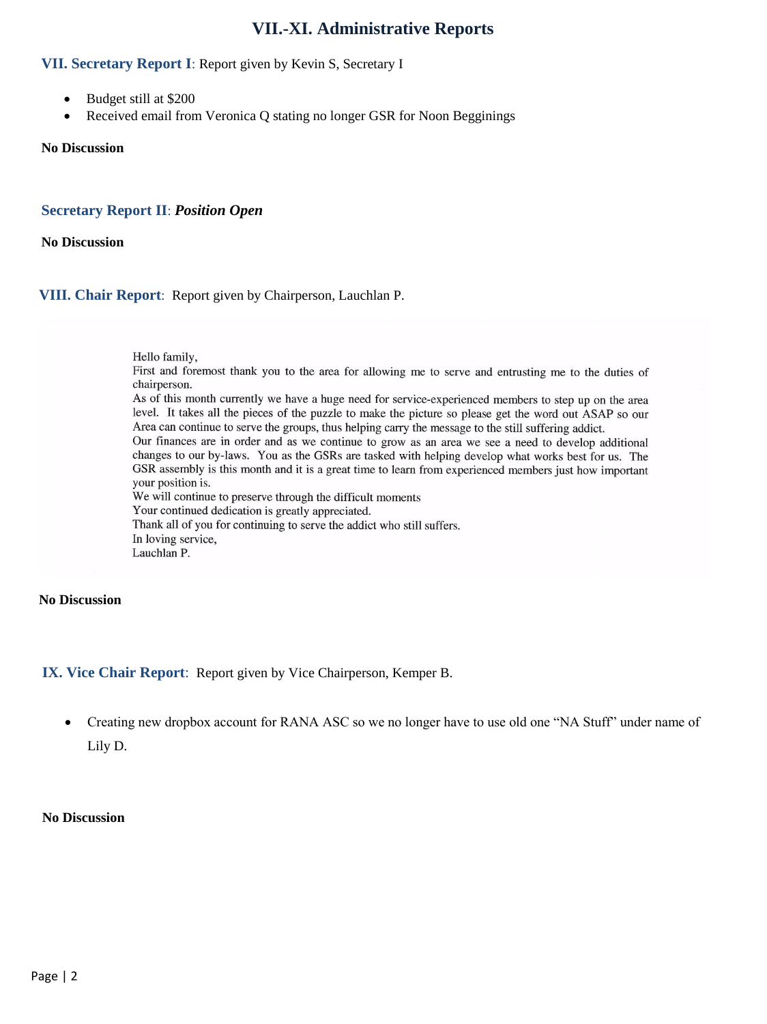## **VII.-XI. Administrative Reports**

### **VII. Secretary Report I**: Report given by Kevin S, Secretary I

- Budget still at \$200
- Received email from Veronica O stating no longer GSR for Noon Begginings

#### **No Discussion**

#### **Secretary Report II**: *Position Open*

**No Discussion**

#### **VIII. Chair Report**: Report given by Chairperson, Lauchlan P.

Hello family,

First and foremost thank you to the area for allowing me to serve and entrusting me to the duties of chairperson.

As of this month currently we have a huge need for service-experienced members to step up on the area level. It takes all the pieces of the puzzle to make the picture so please get the word out ASAP so our Area can continue to serve the groups, thus helping carry the message to the still suffering addict.

Our finances are in order and as we continue to grow as an area we see a need to develop additional changes to our by-laws. You as the GSRs are tasked with helping develop what works best for us. The GSR assembly is this month and it is a great time to learn from experienced members just how important your position is.

We will continue to preserve through the difficult moments Your continued dedication is greatly appreciated. Thank all of you for continuing to serve the addict who still suffers. In loving service,

Lauchlan P.

### **No Discussion**

## **IX. Vice Chair Report**: Report given by Vice Chairperson, Kemper B.

 Creating new dropbox account for RANA ASC so we no longer have to use old one "NA Stuff" under name of Lily D.

#### **No Discussion**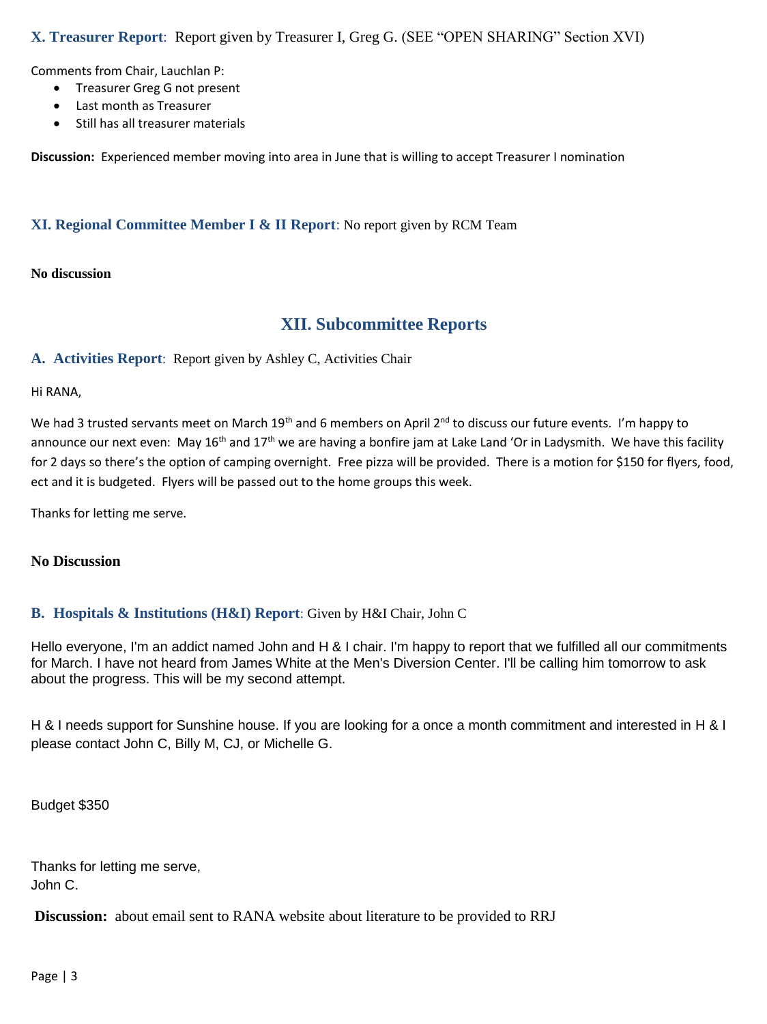## **X. Treasurer Report**: Report given by Treasurer I, Greg G. (SEE "OPEN SHARING" Section XVI)

Comments from Chair, Lauchlan P:

- **•** Treasurer Greg G not present
- Last month as Treasurer
- Still has all treasurer materials

**Discussion:** Experienced member moving into area in June that is willing to accept Treasurer I nomination

## **XI. Regional Committee Member I & II Report**: No report given by RCM Team

#### **No discussion**

## **XII. Subcommittee Reports**

**A. Activities Report**: Report given by Ashley C, Activities Chair

Hi RANA,

We had 3 trusted servants meet on March 19<sup>th</sup> and 6 members on April 2<sup>nd</sup> to discuss our future events. I'm happy to announce our next even: May  $16<sup>th</sup>$  and  $17<sup>th</sup>$  we are having a bonfire jam at Lake Land 'Or in Ladysmith. We have this facility for 2 days so there's the option of camping overnight. Free pizza will be provided. There is a motion for \$150 for flyers, food, ect and it is budgeted. Flyers will be passed out to the home groups this week.

Thanks for letting me serve.

## **No Discussion**

## **B. Hospitals & Institutions (H&I) Report**: Given by H&I Chair, John C

Hello everyone, I'm an addict named John and H & I chair. I'm happy to report that we fulfilled all our commitments for March. I have not heard from James White at the Men's Diversion Center. I'll be calling him tomorrow to ask about the progress. This will be my second attempt.

H & I needs support for Sunshine house. If you are looking for a once a month commitment and interested in H & I please contact John C, Billy M, CJ, or Michelle G.

Budget \$350

Thanks for letting me serve, John C.

**Discussion:** about email sent to RANA website about literature to be provided to RRJ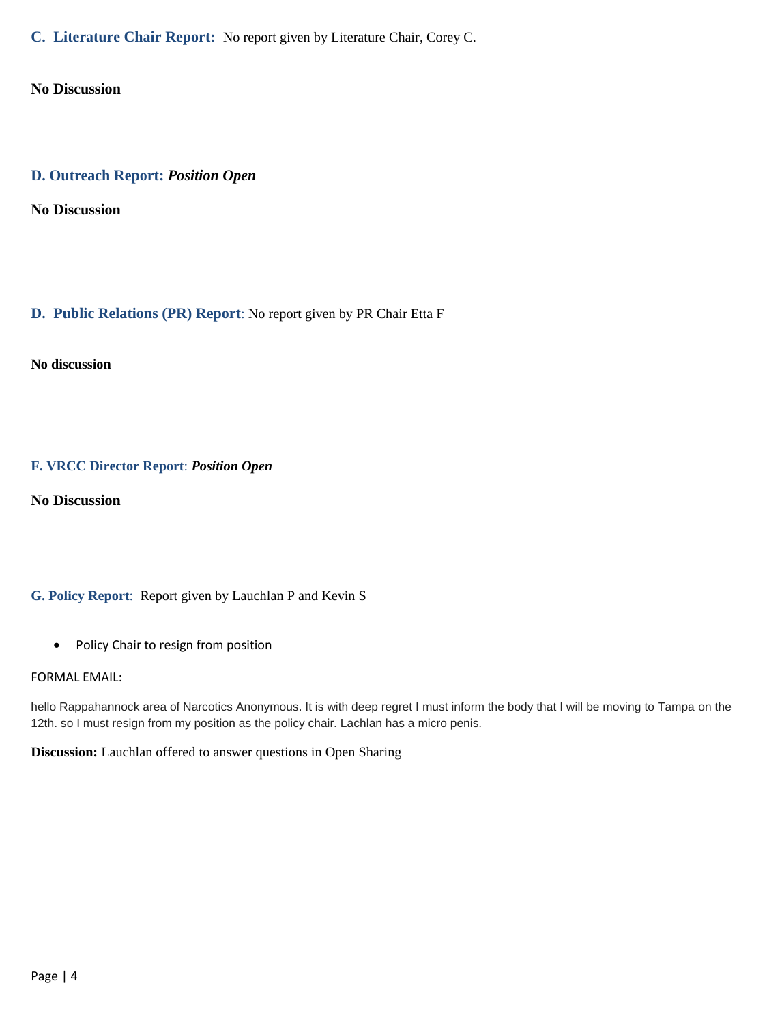**C. Literature Chair Report:** No report given by Literature Chair, Corey C.

**No Discussion**

## **D. Outreach Report:** *Position Open*

**No Discussion**

## **D. Public Relations (PR) Report**: No report given by PR Chair Etta F

**No discussion**

## **F. VRCC Director Report**: *Position Open*

**No Discussion**

## **G. Policy Report**: Report given by Lauchlan P and Kevin S

• Policy Chair to resign from position

#### FORMAL EMAIL:

hello Rappahannock area of Narcotics Anonymous. It is with deep regret I must inform the body that I will be moving to Tampa on the 12th. so I must resign from my position as the policy chair. Lachlan has a micro penis.

**Discussion:** Lauchlan offered to answer questions in Open Sharing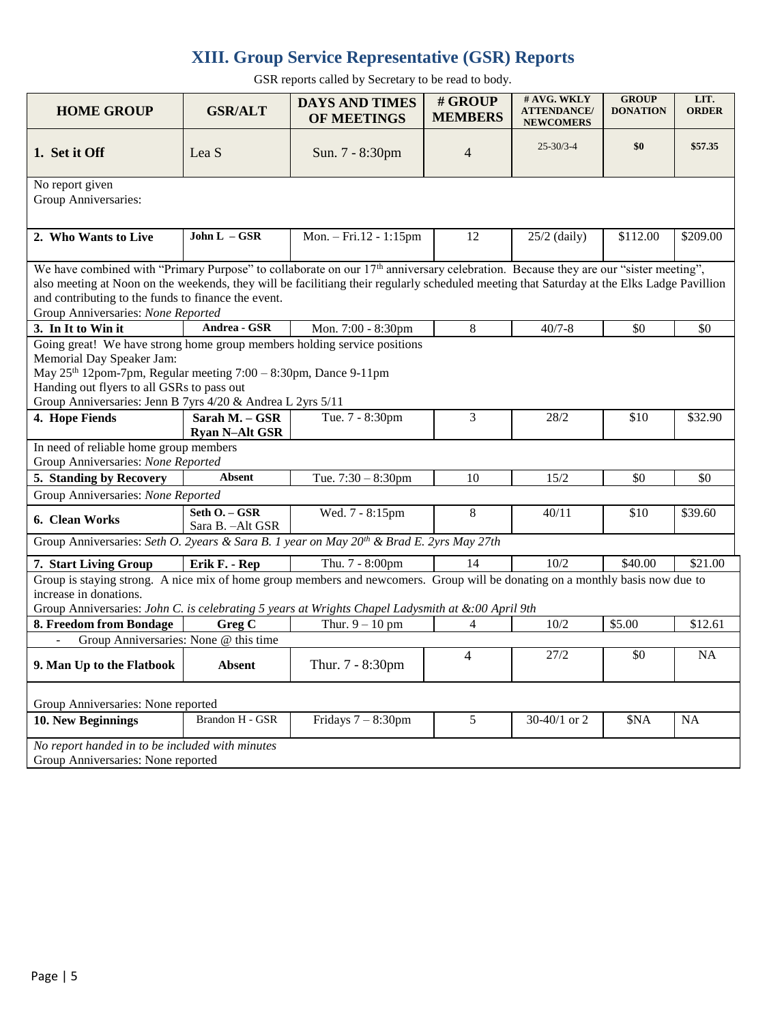# **XIII. Group Service Representative (GSR) Reports**

GSR reports called by Secretary to be read to body.

| <b>HOME GROUP</b>                                                                                                                                                                                                                                                                                                                                                                         | <b>GSR/ALT</b>                          | <b>DAYS AND TIMES</b><br><b>OF MEETINGS</b>        | # GROUP<br><b>MEMBERS</b> | # AVG. WKLY<br><b>ATTENDANCE/</b><br><b>NEWCOMERS</b> | <b>GROUP</b><br><b>DONATION</b> | LIT.<br><b>ORDER</b> |  |  |  |  |
|-------------------------------------------------------------------------------------------------------------------------------------------------------------------------------------------------------------------------------------------------------------------------------------------------------------------------------------------------------------------------------------------|-----------------------------------------|----------------------------------------------------|---------------------------|-------------------------------------------------------|---------------------------------|----------------------|--|--|--|--|
| 1. Set it Off                                                                                                                                                                                                                                                                                                                                                                             | Lea S                                   | Sun. 7 - 8:30pm                                    | 4                         | $25 - 30/3 - 4$                                       | \$0                             | \$57.35              |  |  |  |  |
| No report given<br>Group Anniversaries:                                                                                                                                                                                                                                                                                                                                                   |                                         |                                                    |                           |                                                       |                                 |                      |  |  |  |  |
| 2. Who Wants to Live                                                                                                                                                                                                                                                                                                                                                                      | John $L - GSR$                          | Mon. - Fri.12 - 1:15pm                             | 12                        | $25/2$ (daily)                                        | \$112.00                        | \$209.00             |  |  |  |  |
| We have combined with "Primary Purpose" to collaborate on our 17 <sup>th</sup> anniversary celebration. Because they are our "sister meeting",<br>also meeting at Noon on the weekends, they will be facilitiang their regularly scheduled meeting that Saturday at the Elks Ladge Pavillion<br>and contributing to the funds to finance the event.<br>Group Anniversaries: None Reported |                                         |                                                    |                           |                                                       |                                 |                      |  |  |  |  |
| 3. In It to Win it                                                                                                                                                                                                                                                                                                                                                                        | Andrea - GSR                            | Mon. 7:00 - 8:30pm                                 | 8                         | $40/7 - 8$                                            | \$0                             | \$0                  |  |  |  |  |
| Going great! We have strong home group members holding service positions<br>Memorial Day Speaker Jam:<br>May 25 <sup>th</sup> 12pom-7pm, Regular meeting 7:00 - 8:30pm, Dance 9-11pm<br>Handing out flyers to all GSRs to pass out<br>Group Anniversaries: Jenn B 7yrs 4/20 & Andrea L 2yrs 5/11                                                                                          |                                         |                                                    |                           |                                                       |                                 |                      |  |  |  |  |
| 4. Hope Fiends                                                                                                                                                                                                                                                                                                                                                                            | Sarah M. - GSR<br><b>Ryan N-Alt GSR</b> | Tue. 7 - 8:30pm                                    | 3                         | 28/2                                                  | \$10                            | \$32.90              |  |  |  |  |
| In need of reliable home group members<br>Group Anniversaries: None Reported                                                                                                                                                                                                                                                                                                              |                                         |                                                    |                           |                                                       |                                 |                      |  |  |  |  |
| 5. Standing by Recovery                                                                                                                                                                                                                                                                                                                                                                   | <b>Absent</b>                           | Tue. $7:30 - 8:30$ pm                              | 10                        | 15/2                                                  | \$0                             | \$0                  |  |  |  |  |
| Group Anniversaries: None Reported                                                                                                                                                                                                                                                                                                                                                        |                                         |                                                    |                           |                                                       |                                 |                      |  |  |  |  |
| 6. Clean Works                                                                                                                                                                                                                                                                                                                                                                            | Seth O. - GSR<br>Sara B. - Alt GSR      | Wed. 7 - 8:15pm                                    | 8                         | 40/11                                                 | \$10                            | \$39.60              |  |  |  |  |
| Group Anniversaries: Seth O. 2years & Sara B. 1 year on May 20 <sup>th</sup> & Brad E. 2yrs May 27th                                                                                                                                                                                                                                                                                      |                                         |                                                    |                           |                                                       |                                 |                      |  |  |  |  |
| Thu. 7 - 8:00pm<br>7. Start Living Group<br>Erik F. - Rep<br>14                                                                                                                                                                                                                                                                                                                           |                                         |                                                    | 10/2                      | \$40.00                                               | \$21.00                         |                      |  |  |  |  |
| Group is staying strong. A nice mix of home group members and newcomers. Group will be donating on a monthly basis now due to<br>increase in donations.<br>Group Anniversaries: John C. is celebrating 5 years at Wrights Chapel Ladysmith at &:00 April 9th                                                                                                                              |                                         |                                                    |                           |                                                       |                                 |                      |  |  |  |  |
| 8. Freedom from Bondage                                                                                                                                                                                                                                                                                                                                                                   | Greg C                                  | Thur. $9 - 10$ pm<br>4                             |                           | 10/2                                                  | \$5.00                          | \$12.61              |  |  |  |  |
| Group Anniversaries: None @ this time<br>$\overline{\phantom{a}}$                                                                                                                                                                                                                                                                                                                         |                                         |                                                    |                           |                                                       |                                 |                      |  |  |  |  |
| 9. Man Up to the Flatbook                                                                                                                                                                                                                                                                                                                                                                 | <b>Absent</b>                           | Thur. 7 - 8:30pm                                   | 4                         | 27/2                                                  | \$0                             | <b>NA</b>            |  |  |  |  |
| Group Anniversaries: None reported                                                                                                                                                                                                                                                                                                                                                        |                                         |                                                    |                           |                                                       |                                 |                      |  |  |  |  |
| 10. New Beginnings                                                                                                                                                                                                                                                                                                                                                                        | Brandon H - GSR                         | Fridays $7 - 8:30$ pm<br>5<br>30-40/1 or 2<br>\$NA |                           | NA                                                    |                                 |                      |  |  |  |  |
| No report handed in to be included with minutes<br>Group Anniversaries: None reported                                                                                                                                                                                                                                                                                                     |                                         |                                                    |                           |                                                       |                                 |                      |  |  |  |  |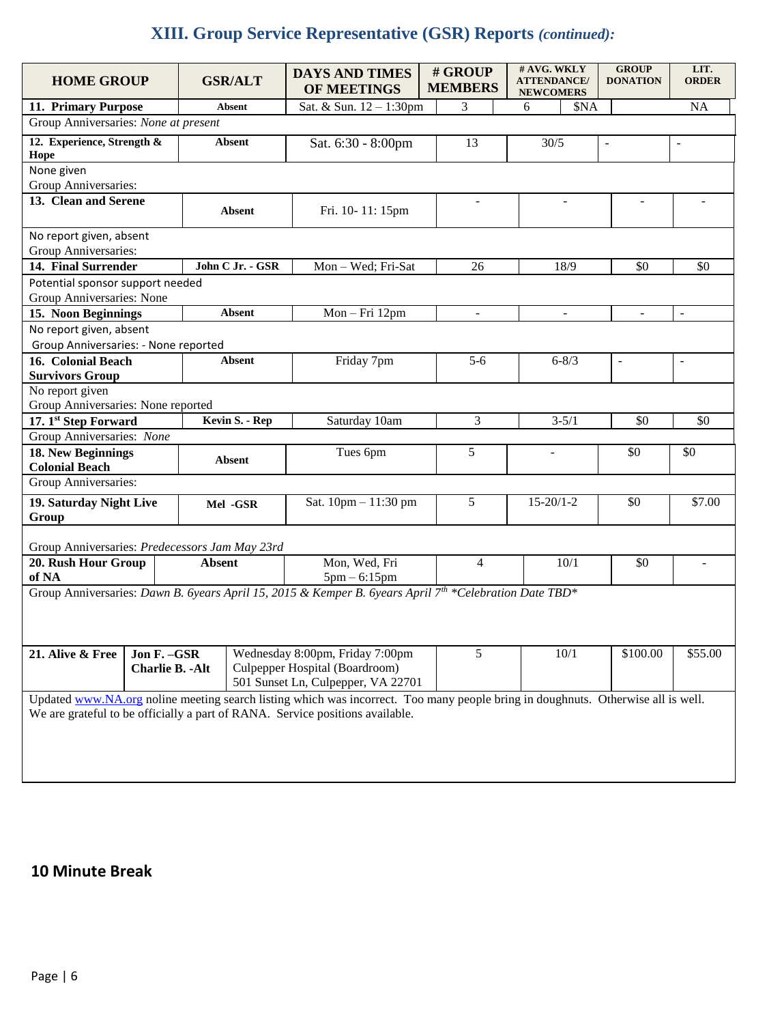# **XIII. Group Service Representative (GSR) Reports** *(continued):*

| <b>HOME GROUP</b>                                                                                                                                                                                                 |                                                                                                                                                    |                | <b>GSR/ALT</b>       | <b>DAYS AND TIMES</b><br>OF MEETINGS |    | # GROUP<br><b>MEMBERS</b> | # AVG. WKLY<br><b>ATTENDANCE/</b><br><b>NEWCOMERS</b> |                          | <b>GROUP</b><br><b>DONATION</b> | LIT.<br><b>ORDER</b>     |
|-------------------------------------------------------------------------------------------------------------------------------------------------------------------------------------------------------------------|----------------------------------------------------------------------------------------------------------------------------------------------------|----------------|----------------------|--------------------------------------|----|---------------------------|-------------------------------------------------------|--------------------------|---------------------------------|--------------------------|
| 11. Primary Purpose                                                                                                                                                                                               |                                                                                                                                                    |                | <b>Absent</b>        | Sat. & Sun. 12 - 1:30pm              |    | 3                         | 6                                                     | \$NA                     |                                 | <b>NA</b>                |
| Group Anniversaries: None at present                                                                                                                                                                              |                                                                                                                                                    |                |                      |                                      |    |                           |                                                       |                          |                                 |                          |
| 12. Experience, Strength &<br>Hope                                                                                                                                                                                | Absent                                                                                                                                             |                | Sat. 6:30 - 8:00pm   |                                      | 13 | 30/5                      |                                                       | $\overline{\phantom{a}}$ | $\sim$                          |                          |
| None given<br>Group Anniversaries:                                                                                                                                                                                |                                                                                                                                                    |                |                      |                                      |    |                           |                                                       |                          |                                 |                          |
| 13. Clean and Serene                                                                                                                                                                                              |                                                                                                                                                    |                | <b>Absent</b>        | Fri. 10-11: 15pm                     |    |                           |                                                       |                          |                                 |                          |
| No report given, absent<br>Group Anniversaries:                                                                                                                                                                   |                                                                                                                                                    |                |                      |                                      |    |                           |                                                       |                          |                                 |                          |
| 14. Final Surrender                                                                                                                                                                                               |                                                                                                                                                    |                | John C Jr. - GSR     | Mon-Wed; Fri-Sat                     |    | 26                        |                                                       | 18/9                     | \$0                             | \$0                      |
| Potential sponsor support needed<br>Group Anniversaries: None                                                                                                                                                     |                                                                                                                                                    |                |                      |                                      |    |                           |                                                       |                          |                                 |                          |
| 15. Noon Beginnings                                                                                                                                                                                               |                                                                                                                                                    |                | Absent               | Mon-Fri 12pm                         |    |                           |                                                       |                          |                                 | $\overline{\phantom{a}}$ |
| No report given, absent<br>Group Anniversaries: - None reported                                                                                                                                                   |                                                                                                                                                    |                |                      |                                      |    |                           |                                                       |                          |                                 |                          |
| 16. Colonial Beach                                                                                                                                                                                                |                                                                                                                                                    |                | <b>Absent</b>        | Friday 7pm                           |    | $5-6$                     |                                                       | $6 - 8/3$                | $\overline{\phantom{a}}$        | $\overline{a}$           |
| <b>Survivors Group</b>                                                                                                                                                                                            |                                                                                                                                                    |                |                      |                                      |    |                           |                                                       |                          |                                 |                          |
| No report given<br>Group Anniversaries: None reported                                                                                                                                                             |                                                                                                                                                    |                |                      |                                      |    |                           |                                                       |                          |                                 |                          |
| 17. 1st Step Forward                                                                                                                                                                                              |                                                                                                                                                    | Kevin S. - Rep | Saturday 10am        |                                      | 3  |                           | $3 - 5/1$                                             | \$0                      | \$0                             |                          |
| Group Anniversaries: None                                                                                                                                                                                         |                                                                                                                                                    |                |                      |                                      |    |                           |                                                       |                          |                                 |                          |
| 18. New Beginnings<br><b>Absent</b><br><b>Colonial Beach</b>                                                                                                                                                      |                                                                                                                                                    |                | Tues 6pm             |                                      | 5  | $\overline{\phantom{0}}$  |                                                       | \$0                      | \$0                             |                          |
| Group Anniversaries:                                                                                                                                                                                              |                                                                                                                                                    |                |                      |                                      |    |                           |                                                       |                          |                                 |                          |
| 19. Saturday Night Live<br>Group                                                                                                                                                                                  |                                                                                                                                                    | Mel-GSR        | Sat. 10pm - 11:30 pm |                                      | 5  | $15 - 20/1 - 2$           |                                                       | \$0                      | \$7.00                          |                          |
| Group Anniversaries: Predecessors Jam May 23rd                                                                                                                                                                    |                                                                                                                                                    |                |                      |                                      |    |                           |                                                       |                          |                                 |                          |
| 20. Rush Hour Group<br>of NA                                                                                                                                                                                      |                                                                                                                                                    | <b>Absent</b>  |                      | Mon, Wed, Fri<br>$5pm - 6:15pm$      |    | $\overline{4}$            |                                                       | 10/1                     | \$0                             |                          |
| Group Anniversaries: Dawn B. 6years April 15, 2015 & Kemper B. 6years April 7 <sup>th</sup> *Celebration Date TBD*                                                                                                |                                                                                                                                                    |                |                      |                                      |    |                           |                                                       |                          |                                 |                          |
| 21. Alive & Free                                                                                                                                                                                                  | Wednesday 8:00pm, Friday 7:00pm<br>Jon F. - GSR<br>Culpepper Hospital (Boardroom)<br><b>Charlie B. - Alt</b><br>501 Sunset Ln, Culpepper, VA 22701 |                |                      | 5                                    |    | 10/1                      | \$100.00                                              | \$55.00                  |                                 |                          |
| Updated www.NA.org noline meeting search listing which was incorrect. Too many people bring in doughnuts. Otherwise all is well.<br>We are grateful to be officially a part of RANA. Service positions available. |                                                                                                                                                    |                |                      |                                      |    |                           |                                                       |                          |                                 |                          |

# **10 Minute Break**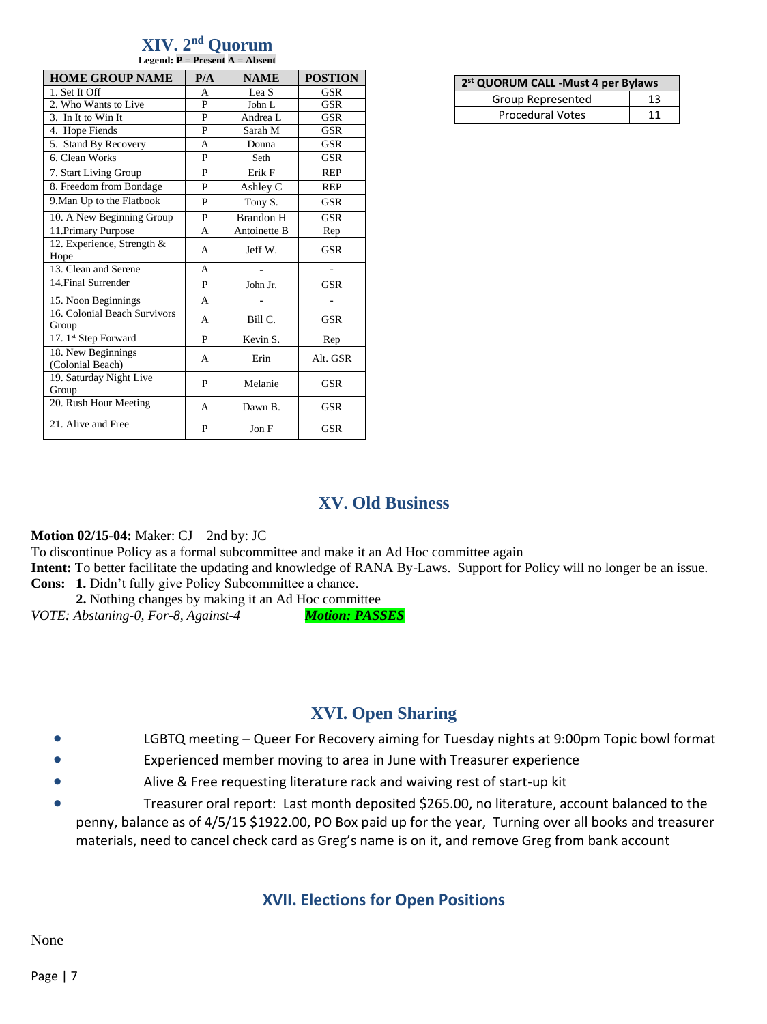#### **XIV. 2 nd Quorum Legend: P = Present A = Absent**

| <b>HOME GROUP NAME</b>                 | P/A | <b>NAME</b>      | <b>POSTION</b> |  |
|----------------------------------------|-----|------------------|----------------|--|
| 1. Set It Off                          | A   | Lea S            | <b>GSR</b>     |  |
| 2. Who Wants to Live                   | P   | John L           | GSR            |  |
| 3. In It to Win It                     | P   | Andrea L         | GSR            |  |
| 4. Hope Fiends                         | P   | Sarah M          | <b>GSR</b>     |  |
| 5. Stand By Recovery                   | A   | Donna            | <b>GSR</b>     |  |
| 6. Clean Works                         | P   | Seth             | GSR            |  |
| 7. Start Living Group                  | P   | Erik F           | <b>REP</b>     |  |
| 8. Freedom from Bondage                | P   | Ashley C         | <b>REP</b>     |  |
| 9. Man Up to the Flatbook              | P   | Tony S.          | <b>GSR</b>     |  |
| 10. A New Beginning Group              | P   | <b>Brandon H</b> | <b>GSR</b>     |  |
| 11. Primary Purpose                    | A   | Antoinette B     | Rep            |  |
| 12. Experience, Strength &<br>Hope     | A   | Jeff W.          | GSR            |  |
| 13. Clean and Serene                   | A   |                  |                |  |
| 14. Final Surrender                    | P   | John Jr.         | <b>GSR</b>     |  |
| 15. Noon Beginnings                    | A   |                  |                |  |
| 16. Colonial Beach Survivors<br>Group  | A   | Bill C.          | GSR            |  |
| 17. 1st Step Forward                   | P   | Kevin S.         | Rep            |  |
| 18. New Beginnings<br>(Colonial Beach) | A   | Erin             | Alt. GSR       |  |
| 19. Saturday Night Live<br>Group       | P   | Melanie          | <b>GSR</b>     |  |
| 20. Rush Hour Meeting                  | A   | Dawn B.          | <b>GSR</b>     |  |
| 21. Alive and Free                     | P   | Jon F            | <b>GSR</b>     |  |

| 2 <sup>st</sup> QUORUM CALL - Must 4 per Bylaws |    |  |  |  |  |  |
|-------------------------------------------------|----|--|--|--|--|--|
| Group Represented                               | 13 |  |  |  |  |  |
| <b>Procedural Votes</b>                         | 11 |  |  |  |  |  |

# **XV. Old Business**

## **Motion 02/15-04:** Maker: CJ 2nd by: JC

To discontinue Policy as a formal subcommittee and make it an Ad Hoc committee again

**Intent:** To better facilitate the updating and knowledge of RANA By-Laws. Support for Policy will no longer be an issue. **Cons: 1.** Didn't fully give Policy Subcommittee a chance.

**2.** Nothing changes by making it an Ad Hoc committee

*VOTE: Abstaning-0, For-8, Against-4 Motion: PASSES*

# **XVI. Open Sharing**

- LGBTQ meeting Queer For Recovery aiming for Tuesday nights at 9:00pm Topic bowl format
- Experienced member moving to area in June with Treasurer experience
- Alive & Free requesting literature rack and waiving rest of start-up kit
- Treasurer oral report: Last month deposited \$265.00, no literature, account balanced to the penny, balance as of 4/5/15 \$1922.00, PO Box paid up for the year, Turning over all books and treasurer materials, need to cancel check card as Greg's name is on it, and remove Greg from bank account

## **XVII. Elections for Open Positions**

None